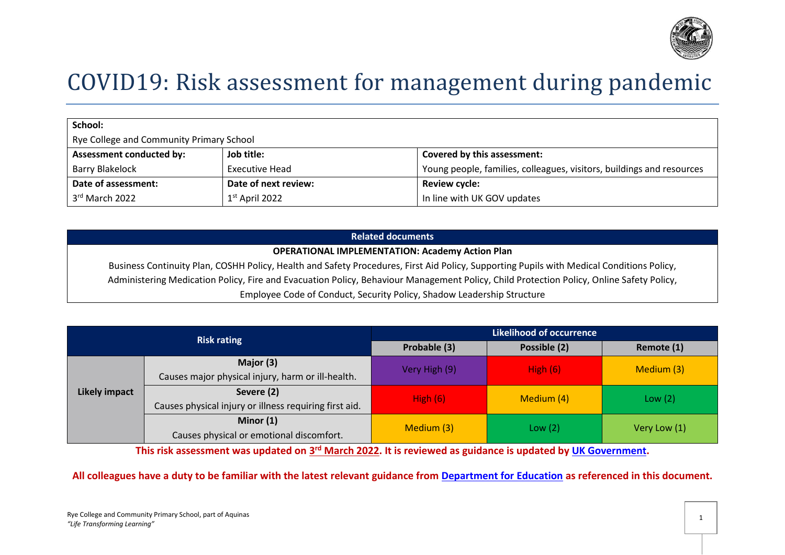

# COVID19: Risk assessment for management during pandemic

| School:                                  |                      |                                                                       |
|------------------------------------------|----------------------|-----------------------------------------------------------------------|
| Rye College and Community Primary School |                      |                                                                       |
| <b>Assessment conducted by:</b>          | Job title:           | Covered by this assessment:                                           |
| <b>Barry Blakelock</b>                   | Executive Head       | Young people, families, colleagues, visitors, buildings and resources |
| Date of assessment:                      | Date of next review: | <b>Review cycle:</b>                                                  |
| 3rd March 2022                           | $1st$ April 2022     | In line with UK GOV updates                                           |

### **Related documents**

#### **OPERATIONAL IMPLEMENTATION: Academy Action Plan**

Business Continuity Plan, COSHH Policy, Health and Safety Procedures, First Aid Policy, Supporting Pupils with Medical Conditions Policy, Administering Medication Policy, Fire and Evacuation Policy, Behaviour Management Policy, Child Protection Policy, Online Safety Policy, Employee Code of Conduct, Security Policy, Shadow Leadership Structure

|                      | <b>Risk rating</b>                                     |                                                                                    | <b>Likelihood of occurrence</b> |              |
|----------------------|--------------------------------------------------------|------------------------------------------------------------------------------------|---------------------------------|--------------|
|                      |                                                        | Probable (3)                                                                       | Possible (2)                    | Remote (1)   |
|                      | Major (3)                                              |                                                                                    |                                 | Medium (3)   |
|                      | Causes major physical injury, harm or ill-health.      |                                                                                    |                                 |              |
| <b>Likely impact</b> | Severe (2)                                             |                                                                                    |                                 | Low $(2)$    |
|                      | Causes physical injury or illness requiring first aid. |                                                                                    |                                 |              |
|                      | Minor $(1)$                                            | High $(6)$<br>Very High (9)<br>High $(6)$<br>Medium (4)<br>Medium (3)<br>Low $(2)$ |                                 |              |
|                      | Causes physical or emotional discomfort.               |                                                                                    |                                 | Very Low (1) |

This risk assessment was updated on  $3^{\text{rd}}$  March 2022. It is reviewed as guidance is updated by <u>UK Government</u>.

## **All colleagues have a duty to be familiar with the latest relevant guidance from [Department for Education](https://www.gov.uk/coronavirus/education-and-childcare) as referenced in this document.**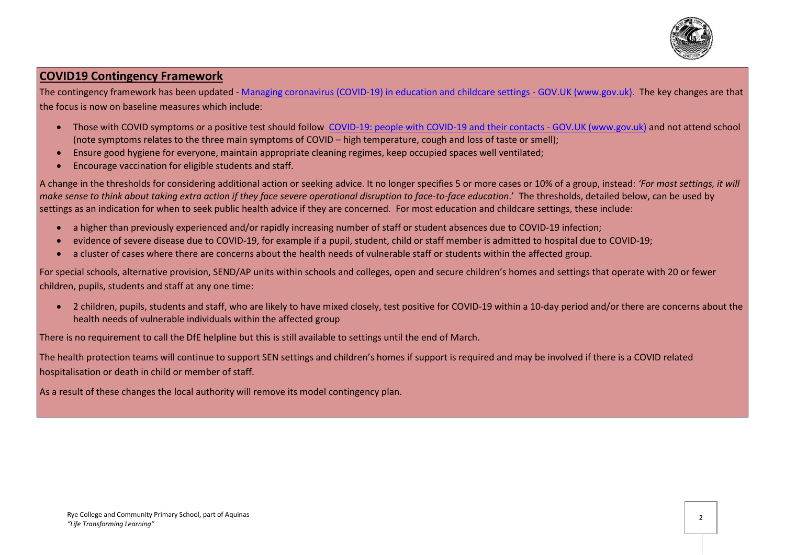

# **COVID19 Contingency Framework**

The contingency framework has been updated - [Managing coronavirus \(COVID-19\) in education and childcare settings -](https://www.gov.uk/government/publications/coronavirus-covid-19-local-restrictions-in-education-and-childcare-settings) GOV.UK (www.gov.uk). The key changes are that the focus is now on baseline measures which include:

- Those with COVID symptoms or a positive test should follow [COVID-19: people with COVID-19 and their contacts -](https://www.gov.uk/government/publications/covid-19-people-with-covid-19-and-their-contacts) GOV.UK (www.gov.uk) and not attend school (note symptoms relates to the three main symptoms of COVID – high temperature, cough and loss of taste or smell);
- Ensure good hygiene for everyone, maintain appropriate cleaning regimes, keep occupied spaces well ventilated;
- Encourage vaccination for eligible students and staff.

A change in the thresholds for considering additional action or seeking advice. It no longer specifies 5 or more cases or 10% of a group, instead: *'For most settings, it will make sense to think about taking extra action if they face severe operational disruption to face-to-face education*.' The thresholds, detailed below, can be used by settings as an indication for when to seek public health advice if they are concerned. For most education and childcare settings, these include:

- a higher than previously experienced and/or rapidly increasing number of staff or student absences due to COVID-19 infection;
- evidence of severe disease due to COVID-19, for example if a pupil, student, child or staff member is admitted to hospital due to COVID-19;
- a cluster of cases where there are concerns about the health needs of vulnerable staff or students within the affected group.

For special schools, alternative provision, SEND/AP units within schools and colleges, open and secure children's homes and settings that operate with 20 or fewer children, pupils, students and staff at any one time:

• 2 children, pupils, students and staff, who are likely to have mixed closely, test positive for COVID-19 within a 10-day period and/or there are concerns about the health needs of vulnerable individuals within the affected group

There is no requirement to call the DfE helpline but this is still available to settings until the end of March.

The health protection teams will continue to support SEN settings and children's homes if support is required and may be involved if there is a COVID related hospitalisation or death in child or member of staff.

As a result of these changes the local authority will remove its model contingency plan.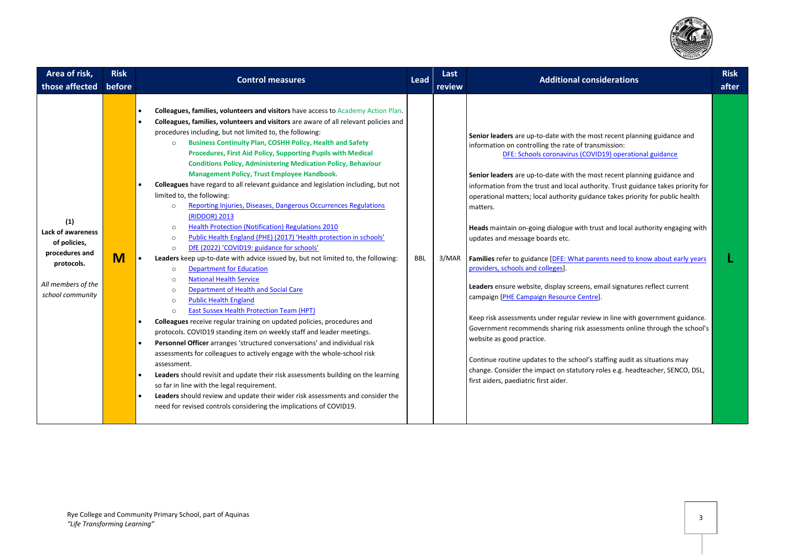

| Area of risk,<br>those affected                                                                                    | <b>Risk</b><br><b>Control measures</b><br>before                                                                                                                                                                                                                                                                                                                                                                                                                                                                                                                                                                                                                                                                                                                                                                                                                                                                                                                                                                                                                                                                                                                                                                                                                                                                                                                                                                                                                                                                                                                                                                                                                                                                                                                                                                                                                                                                                                                                  | Last<br>Lead<br><b>Additional considerations</b><br>review                                                                                                                                                                                                                                                                                                                                                                                                                                                                                                                                                                                                                                                                                                                                                                                                                                                                                                                                                                                                                                                                                                                                                                                    | <b>Risk</b><br>after |
|--------------------------------------------------------------------------------------------------------------------|-----------------------------------------------------------------------------------------------------------------------------------------------------------------------------------------------------------------------------------------------------------------------------------------------------------------------------------------------------------------------------------------------------------------------------------------------------------------------------------------------------------------------------------------------------------------------------------------------------------------------------------------------------------------------------------------------------------------------------------------------------------------------------------------------------------------------------------------------------------------------------------------------------------------------------------------------------------------------------------------------------------------------------------------------------------------------------------------------------------------------------------------------------------------------------------------------------------------------------------------------------------------------------------------------------------------------------------------------------------------------------------------------------------------------------------------------------------------------------------------------------------------------------------------------------------------------------------------------------------------------------------------------------------------------------------------------------------------------------------------------------------------------------------------------------------------------------------------------------------------------------------------------------------------------------------------------------------------------------------|-----------------------------------------------------------------------------------------------------------------------------------------------------------------------------------------------------------------------------------------------------------------------------------------------------------------------------------------------------------------------------------------------------------------------------------------------------------------------------------------------------------------------------------------------------------------------------------------------------------------------------------------------------------------------------------------------------------------------------------------------------------------------------------------------------------------------------------------------------------------------------------------------------------------------------------------------------------------------------------------------------------------------------------------------------------------------------------------------------------------------------------------------------------------------------------------------------------------------------------------------|----------------------|
| (1)<br>Lack of awareness<br>of policies,<br>procedures and<br>protocols.<br>All members of the<br>school community | Colleagues, families, volunteers and visitors have access to Academy Action Plan.<br>Colleagues, families, volunteers and visitors are aware of all relevant policies and<br>$\bullet$<br>procedures including, but not limited to, the following:<br><b>Business Continuity Plan, COSHH Policy, Health and Safety</b><br>$\circ$<br>Procedures, First Aid Policy, Supporting Pupils with Medical<br><b>Conditions Policy, Administering Medication Policy, Behaviour</b><br>Management Policy, Trust Employee Handbook.<br>Colleagues have regard to all relevant guidance and legislation including, but not<br>limited to, the following:<br>Reporting Injuries, Diseases, Dangerous Occurrences Regulations<br>$\circ$<br>(RIDDOR) 2013<br><b>Health Protection (Notification) Regulations 2010</b><br>$\circ$<br>Public Health England (PHE) (2017) 'Health protection in schools'<br>$\circ$<br>DfE (2022) 'COVID19: guidance for schools'<br>$\circ$<br>M<br>Leaders keep up-to-date with advice issued by, but not limited to, the following:<br><b>Department for Education</b><br>$\circ$<br><b>National Health Service</b><br>$\circ$<br><b>Department of Health and Social Care</b><br>$\circ$<br><b>Public Health England</b><br>$\circ$<br><b>East Sussex Health Protection Team (HPT)</b><br>$\circ$<br>Colleagues receive regular training on updated policies, procedures and<br>protocols. COVID19 standing item on weekly staff and leader meetings.<br>Personnel Officer arranges 'structured conversations' and individual risk<br>$\bullet$<br>assessments for colleagues to actively engage with the whole-school risk<br>assessment.<br>Leaders should revisit and update their risk assessments building on the learning<br>$\bullet$<br>so far in line with the legal requirement.<br>Leaders should review and update their wider risk assessments and consider the<br>$\bullet$<br>need for revised controls considering the implications of COVID19. | Senior leaders are up-to-date with the most recent planning guidance and<br>information on controlling the rate of transmission:<br>DFE: Schools coronavirus (COVID19) operational guidance<br>Senior leaders are up-to-date with the most recent planning guidance and<br>information from the trust and local authority. Trust guidance takes priority for<br>operational matters; local authority guidance takes priority for public health<br>matters.<br>Heads maintain on-going dialogue with trust and local authority engaging with<br>updates and message boards etc.<br>BBL<br>3/MAR<br>Families refer to guidance [DFE: What parents need to know about early years<br>providers, schools and colleges].<br>Leaders ensure website, display screens, email signatures reflect current<br>campaign [PHE Campaign Resource Centre].<br>Keep risk assessments under regular review in line with government guidance.<br>Government recommends sharing risk assessments online through the school's<br>website as good practice.<br>Continue routine updates to the school's staffing audit as situations may<br>change. Consider the impact on statutory roles e.g. headteacher, SENCO, DSL,<br>first aiders, paediatric first aider. |                      |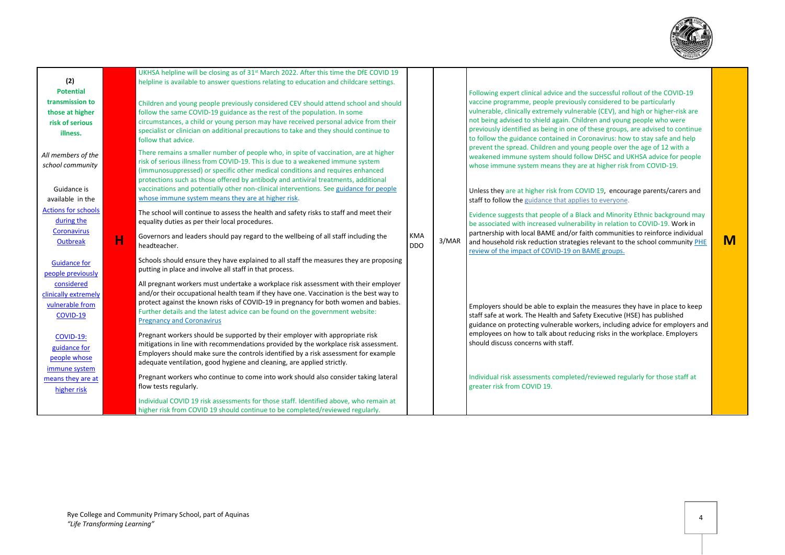

|                                     | UKHSA helpline will be closing as of 31 <sup>st</sup> March 2022. After this time the DfE COVID 19                                                |            |       |                                                                                                                                                   |   |
|-------------------------------------|---------------------------------------------------------------------------------------------------------------------------------------------------|------------|-------|---------------------------------------------------------------------------------------------------------------------------------------------------|---|
| (2)                                 | helpline is available to answer questions relating to education and childcare settings.                                                           |            |       |                                                                                                                                                   |   |
| <b>Potential</b><br>transmission to | Children and young people previously considered CEV should attend school and should                                                               |            |       | Following expert clinical advice and the successful rollout of the COVID-19<br>vaccine programme, people previously considered to be particularly |   |
| those at higher                     | follow the same COVID-19 guidance as the rest of the population. In some                                                                          |            |       | vulnerable, clinically extremely vulnerable (CEV), and high or higher-risk are                                                                    |   |
| risk of serious                     | circumstances, a child or young person may have received personal advice from their                                                               |            |       | not being advised to shield again. Children and young people who were                                                                             |   |
| illness.                            | specialist or clinician on additional precautions to take and they should continue to                                                             |            |       | previously identified as being in one of these groups, are advised to continue                                                                    |   |
|                                     | follow that advice.                                                                                                                               |            |       | to follow the guidance contained in Coronavirus: how to stay safe and help                                                                        |   |
| All members of the                  | There remains a smaller number of people who, in spite of vaccination, are at higher                                                              |            |       | prevent the spread. Children and young people over the age of 12 with a                                                                           |   |
| school community                    | risk of serious illness from COVID-19. This is due to a weakened immune system                                                                    |            |       | weakened immune system should follow DHSC and UKHSA advice for people                                                                             |   |
|                                     | (immunosuppressed) or specific other medical conditions and requires enhanced                                                                     |            |       | whose immune system means they are at higher risk from COVID-19.                                                                                  |   |
|                                     | protections such as those offered by antibody and antiviral treatments, additional                                                                |            |       |                                                                                                                                                   |   |
| Guidance is                         | vaccinations and potentially other non-clinical interventions. See guidance for people                                                            |            |       | Unless they are at higher risk from COVID 19, encourage parents/carers and                                                                        |   |
| available in the                    | whose immune system means they are at higher risk.                                                                                                |            |       | staff to follow the guidance that applies to everyone.                                                                                            |   |
| <b>Actions for schools</b>          | The school will continue to assess the health and safety risks to staff and meet their                                                            |            |       | Evidence suggests that people of a Black and Minority Ethnic background may                                                                       |   |
| during the                          | equality duties as per their local procedures.                                                                                                    |            |       | be associated with increased vulnerability in relation to COVID-19. Work in                                                                       |   |
| <b>Coronavirus</b>                  | Governors and leaders should pay regard to the wellbeing of all staff including the                                                               | <b>KMA</b> |       | partnership with local BAME and/or faith communities to reinforce individual                                                                      |   |
| н<br>Outbreak                       | headteacher.                                                                                                                                      | <b>DDO</b> | 3/MAR | and household risk reduction strategies relevant to the school community PHE                                                                      | M |
|                                     |                                                                                                                                                   |            |       | review of the impact of COVID-19 on BAME groups.                                                                                                  |   |
| <b>Guidance for</b>                 | Schools should ensure they have explained to all staff the measures they are proposing<br>putting in place and involve all staff in that process. |            |       |                                                                                                                                                   |   |
| people previously                   |                                                                                                                                                   |            |       |                                                                                                                                                   |   |
| considered                          | All pregnant workers must undertake a workplace risk assessment with their employer                                                               |            |       |                                                                                                                                                   |   |
| clinically extremely                | and/or their occupational health team if they have one. Vaccination is the best way to                                                            |            |       |                                                                                                                                                   |   |
| vulnerable from                     | protect against the known risks of COVID-19 in pregnancy for both women and babies.                                                               |            |       | Employers should be able to explain the measures they have in place to keep                                                                       |   |
| COVID-19                            | Further details and the latest advice can be found on the government website:<br><b>Pregnancy and Coronavirus</b>                                 |            |       | staff safe at work. The Health and Safety Executive (HSE) has published                                                                           |   |
|                                     |                                                                                                                                                   |            |       | guidance on protecting vulnerable workers, including advice for employers and                                                                     |   |
| <b>COVID-19:</b>                    | Pregnant workers should be supported by their employer with appropriate risk                                                                      |            |       | employees on how to talk about reducing risks in the workplace. Employers                                                                         |   |
| guidance for                        | mitigations in line with recommendations provided by the workplace risk assessment.                                                               |            |       | should discuss concerns with staff.                                                                                                               |   |
| people whose                        | Employers should make sure the controls identified by a risk assessment for example                                                               |            |       |                                                                                                                                                   |   |
| immune system                       | adequate ventilation, good hygiene and cleaning, are applied strictly.                                                                            |            |       |                                                                                                                                                   |   |
| means they are at                   | Pregnant workers who continue to come into work should also consider taking lateral                                                               |            |       | Individual risk assessments completed/reviewed regularly for those staff at                                                                       |   |
| higher risk                         | flow tests regularly.                                                                                                                             |            |       | greater risk from COVID 19.                                                                                                                       |   |
|                                     | Individual COVID 19 risk assessments for those staff. Identified above, who remain at                                                             |            |       |                                                                                                                                                   |   |
|                                     | higher risk from COVID 19 should continue to be completed/reviewed regularly.                                                                     |            |       |                                                                                                                                                   |   |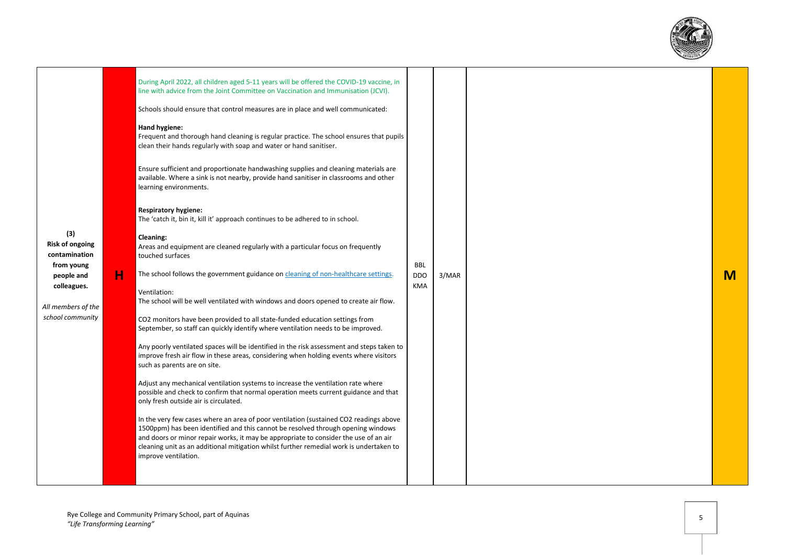

| (3)<br><b>Risk of ongoing</b><br>contamination<br>from young<br>people and<br>colleagues.<br>All members of the<br>school community | н | During April 2022, all children aged 5-11 years will be offered the COVID-19 vaccine, in<br>line with advice from the Joint Committee on Vaccination and Immunisation (JCVI).<br>Schools should ensure that control measures are in place and well communicated:<br>Hand hygiene:<br>Frequent and thorough hand cleaning is regular practice. The school ensures that pupils<br>clean their hands regularly with soap and water or hand sanitiser.<br>Ensure sufficient and proportionate handwashing supplies and cleaning materials are<br>available. Where a sink is not nearby, provide hand sanitiser in classrooms and other<br>learning environments.<br><b>Respiratory hygiene:</b><br>The 'catch it, bin it, kill it' approach continues to be adhered to in school.<br>Cleaning:<br>Areas and equipment are cleaned regularly with a particular focus on frequently<br>touched surfaces<br>The school follows the government guidance on cleaning of non-healthcare settings.<br>Ventilation:<br>The school will be well ventilated with windows and doors opened to create air flow.<br>CO2 monitors have been provided to all state-funded education settings from<br>September, so staff can quickly identify where ventilation needs to be improved.<br>Any poorly ventilated spaces will be identified in the risk assessment and steps taken to<br>improve fresh air flow in these areas, considering when holding events where visitors<br>such as parents are on site.<br>Adjust any mechanical ventilation systems to increase the ventilation rate where<br>possible and check to confirm that normal operation meets current guidance and that<br>only fresh outside air is circulated.<br>In the very few cases where an area of poor ventilation (sustained CO2 readings above<br>1500ppm) has been identified and this cannot be resolved through opening windows<br>and doors or minor repair works, it may be appropriate to consider the use of an air<br>cleaning unit as an additional mitigation whilst further remedial work is undertaken to<br>improve ventilation. | <b>BBL</b><br><b>DDO</b><br><b>KMA</b> | 3/MAR |  |  |  |  |  |  |  | M |
|-------------------------------------------------------------------------------------------------------------------------------------|---|------------------------------------------------------------------------------------------------------------------------------------------------------------------------------------------------------------------------------------------------------------------------------------------------------------------------------------------------------------------------------------------------------------------------------------------------------------------------------------------------------------------------------------------------------------------------------------------------------------------------------------------------------------------------------------------------------------------------------------------------------------------------------------------------------------------------------------------------------------------------------------------------------------------------------------------------------------------------------------------------------------------------------------------------------------------------------------------------------------------------------------------------------------------------------------------------------------------------------------------------------------------------------------------------------------------------------------------------------------------------------------------------------------------------------------------------------------------------------------------------------------------------------------------------------------------------------------------------------------------------------------------------------------------------------------------------------------------------------------------------------------------------------------------------------------------------------------------------------------------------------------------------------------------------------------------------------------------------------------------------------------------------------------------------------------------------------------------------------|----------------------------------------|-------|--|--|--|--|--|--|--|---|
|-------------------------------------------------------------------------------------------------------------------------------------|---|------------------------------------------------------------------------------------------------------------------------------------------------------------------------------------------------------------------------------------------------------------------------------------------------------------------------------------------------------------------------------------------------------------------------------------------------------------------------------------------------------------------------------------------------------------------------------------------------------------------------------------------------------------------------------------------------------------------------------------------------------------------------------------------------------------------------------------------------------------------------------------------------------------------------------------------------------------------------------------------------------------------------------------------------------------------------------------------------------------------------------------------------------------------------------------------------------------------------------------------------------------------------------------------------------------------------------------------------------------------------------------------------------------------------------------------------------------------------------------------------------------------------------------------------------------------------------------------------------------------------------------------------------------------------------------------------------------------------------------------------------------------------------------------------------------------------------------------------------------------------------------------------------------------------------------------------------------------------------------------------------------------------------------------------------------------------------------------------------|----------------------------------------|-------|--|--|--|--|--|--|--|---|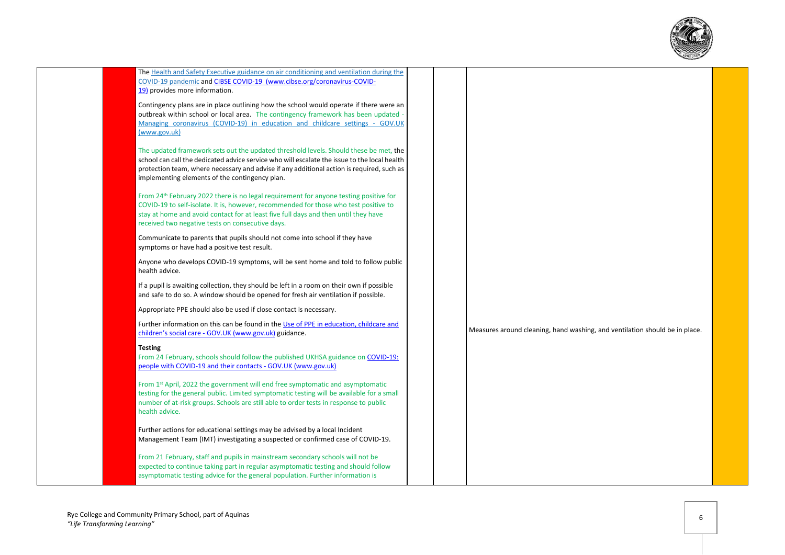

| The Health and Safety Executive guidance on air conditioning and ventilation during the<br>COVID-19 pandemic and CIBSE COVID-19 (www.cibse.org/coronavirus-COVID-<br>19) provides more information.                                                                                                                                  |  |                                                                             |  |
|--------------------------------------------------------------------------------------------------------------------------------------------------------------------------------------------------------------------------------------------------------------------------------------------------------------------------------------|--|-----------------------------------------------------------------------------|--|
| Contingency plans are in place outlining how the school would operate if there were an<br>outbreak within school or local area. The contingency framework has been updated -<br>Managing coronavirus (COVID-19) in education and childcare settings - GOV.UK<br>(www.gov.uk)                                                         |  |                                                                             |  |
| The updated framework sets out the updated threshold levels. Should these be met, the<br>school can call the dedicated advice service who will escalate the issue to the local health<br>protection team, where necessary and advise if any additional action is required, such as<br>implementing elements of the contingency plan. |  |                                                                             |  |
| From 24 <sup>th</sup> February 2022 there is no legal requirement for anyone testing positive for<br>COVID-19 to self-isolate. It is, however, recommended for those who test positive to<br>stay at home and avoid contact for at least five full days and then until they have<br>received two negative tests on consecutive days. |  |                                                                             |  |
| Communicate to parents that pupils should not come into school if they have<br>symptoms or have had a positive test result.                                                                                                                                                                                                          |  |                                                                             |  |
| Anyone who develops COVID-19 symptoms, will be sent home and told to follow public<br>health advice.                                                                                                                                                                                                                                 |  |                                                                             |  |
| If a pupil is awaiting collection, they should be left in a room on their own if possible<br>and safe to do so. A window should be opened for fresh air ventilation if possible.                                                                                                                                                     |  |                                                                             |  |
| Appropriate PPE should also be used if close contact is necessary.                                                                                                                                                                                                                                                                   |  |                                                                             |  |
| Further information on this can be found in the Use of PPE in education, childcare and<br>children's social care - GOV.UK (www.gov.uk) guidance.                                                                                                                                                                                     |  | Measures around cleaning, hand washing, and ventilation should be in place. |  |
| <b>Testing</b><br>From 24 February, schools should follow the published UKHSA guidance on COVID-19:<br>people with COVID-19 and their contacts - GOV.UK (www.gov.uk)                                                                                                                                                                 |  |                                                                             |  |
| From 1st April, 2022 the government will end free symptomatic and asymptomatic<br>testing for the general public. Limited symptomatic testing will be available for a small<br>number of at-risk groups. Schools are still able to order tests in response to public<br>health advice.                                               |  |                                                                             |  |
| Further actions for educational settings may be advised by a local Incident<br>Management Team (IMT) investigating a suspected or confirmed case of COVID-19.                                                                                                                                                                        |  |                                                                             |  |
| From 21 February, staff and pupils in mainstream secondary schools will not be<br>expected to continue taking part in regular asymptomatic testing and should follow<br>asymptomatic testing advice for the general population. Further information is                                                                               |  |                                                                             |  |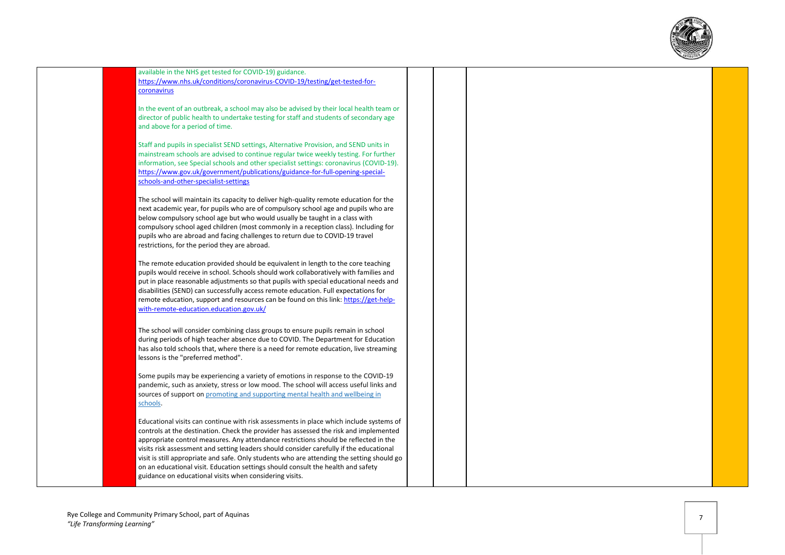

available in the NHS get tested for COVID -19) guidance. [https://www.nhs.uk/conditions/coronavirus](https://www.nhs.uk/conditions/coronavirus-covid-19/testing/get-tested-for-coronavirus) -COVID -19/testing/get -tested -for [coronavirus](https://www.nhs.uk/conditions/coronavirus-covid-19/testing/get-tested-for-coronavirus)

In the event of an outbreak, a school may also be advised by their local health team or director of public health to undertake testing for staff and students of secondary age and above for a period of time.

Staff and pupils in specialist SEND settings, Alternative Provision, and SEND units in mainstream schools are advised to continue regular twice weekly testing. For further information, see Special schools and other specialist settings: coronavirus (COVID -19). [https://www.gov.uk/government/publications/guidance](https://www.gov.uk/government/publications/guidance-for-full-opening-special-schools-and-other-specialist-settings)-for-full-opening-specialschools -and -other [-specialist](https://www.gov.uk/government/publications/guidance-for-full-opening-special-schools-and-other-specialist-settings) -settings

The school will maintain its capacity to deliver high -quality remote education for the next academic year, for pupils who are of compulsory school age and pupils who are below compulsory school age but who would usually be taught in a class with compulsory school aged children (most commonly in a reception class). Including for pupils who are abroad and facing challenges to return due to COVID -19 travel restrictions, for the period they are abroad.

The remote education provided should be equivalent in length to the core teaching pupils would receive in school. Schools should work collaboratively with families and put in place reasonable adjustments so that pupils with special educational needs and disabilities (SEND) can successfully access remote education. Full expectations for remote education, support and resources can be found on this link: <u>https://get-help-</u> with -remote [-education.education.gov.uk/](https://get-help-with-remote-education.education.gov.uk/)

The school will consider combining class groups to ensure pupils remain in school during periods of high teacher absence due to COVID. The Department for Education has also told schools that, where there is a need for remote education, live streaming lessons is the "preferred method".

Some pupils may be experiencing a variety of emotions in response to the COVID -19 pandemic, such as anxiety, stress or low mood. The school will access useful links and sources of support on promoting and supporting mental health and wellbeing in [schools](https://www.gov.uk/guidance/mental-health-and-wellbeing-support-in-schools-and-colleges) .

Educational visits can continue with risk assessments in place which include systems of controls at the destination. Check the provider has assessed the risk and implemented appropriate control measures. Any attendance restrictions should be reflected in the visits risk assessment and setting leaders should consider carefully if the educational visit is still appropriate and safe. Only students who are attending the setting should go on an educational visit. Education settings should consult the health and safety guidance on educational visits when considering visits.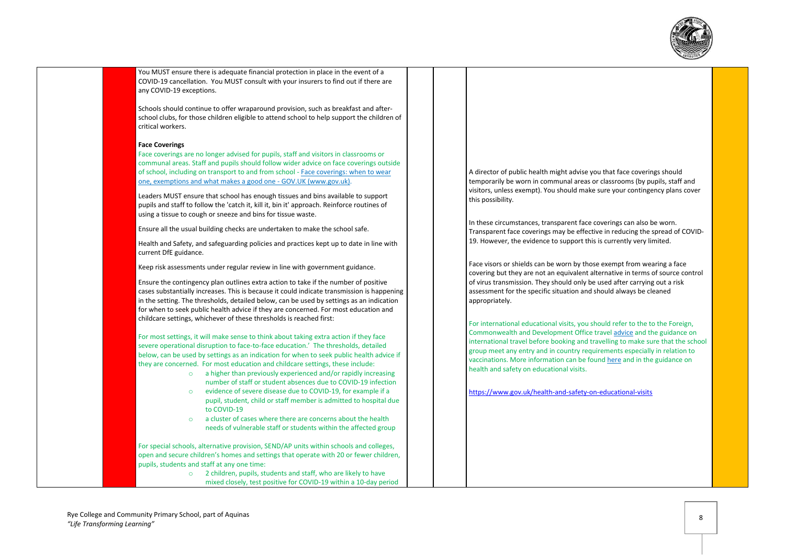

You MUST ensure there is adequate financial protection in place in the event of a COVID-19 cancellation. You MUST consult with your insurers to find out if there are any COVID-19 exceptions.

Schools should continue to offer wraparound provision, such as breakfast and afterschool clubs, for those children eligible to attend school to help support the children of critical workers.

#### **Face Coverings**

Face coverings are no longer advised for pupils, staff and visitors in classrooms or communal areas. Staff and pupils should follow wider advice on face coverings outside of school, including on transport to and from school - [Face coverings: when to wear](https://www.gov.uk/government/publications/face-coverings-when-to-wear-one-and-how-to-make-your-own/face-coverings-when-to-wear-one-and-how-to-make-your-own)  [one, exemptions and what makes a good one -](https://www.gov.uk/government/publications/face-coverings-when-to-wear-one-and-how-to-make-your-own/face-coverings-when-to-wear-one-and-how-to-make-your-own) GOV.UK (www.gov.uk).

Leaders MUST ensure that school has enough tissues and bins available to support pupils and staff to follow the 'catch it, kill it, bin it' approach. Reinforce routines of using a tissue to cough or sneeze and bins for tissue waste.

Ensure all the usual building checks are undertaken to make the school safe.

Health and Safety, and safeguarding policies and practices kept up to date in line with current DfE guidance.

Keep risk assessments under regular review in line with government guidance.

Ensure the contingency plan outlines extra action to take if the number of positive cases substantially increases. This is because it could indicate transmission is happening in the setting. The thresholds, detailed below, can be used by settings as an indication for when to seek public health advice if they are concerned. For most education and childcare settings, whichever of these thresholds is reached first:

For most settings, it will make sense to think about taking extra action if they face severe operational disruption to face-to-face education.' The thresholds, detailed below, can be used by settings as an indication for when to seek public health advice if they are concerned. For most education and childcare settings, these include:

- o a higher than previously experienced and/or rapidly increasing number of staff or student absences due to COVID-19 infection
- o evidence of severe disease due to COVID-19, for example if a pupil, student, child or staff member is admitted to hospital due to COVID-19
- o a cluster of cases where there are concerns about the health needs of vulnerable staff or students within the affected group

For special schools, alternative provision, SEND/AP units within schools and colleges, open and secure children's homes and settings that operate with 20 or fewer children, pupils, students and staff at any one time:

o 2 children, pupils, students and staff, who are likely to have mixed closely, test positive for COVID-19 within a 10-day period A director of public health might advise you that face coverings should temporarily be worn in communal areas or classrooms (by pupils, staff and visitors, unless exempt). You should make sure your contingency plans cover this possibility.

In these circumstances, transparent face coverings can also be worn. Transparent face coverings may be effective in reducing the spread of COVID-19. However, the evidence to support this is currently very limited.

Face visors or shields can be worn by those exempt from wearing a face covering but they are not an equivalent alternative in terms of source control of virus transmission. They should only be used after carrying out a risk assessment for the specific situation and should always be cleaned appropriately.

For international educational visits, you should refer to the to the Foreign, Commonwealth and Development Office trave[l advice](https://www.gov.uk/foreign-travel-advice) and the guidance on international travel before booking and travelling to make sure that the school group meet any entry and in country requirements especially in relation to vaccinations. More information can be foun[d here](https://www.gov.uk/government/publications/actions-for-schools-during-the-coronavirus-outbreak) and in the guidance on health and safety on educational visits.

<https://www.gov.uk/health-and-safety-on-educational-visits>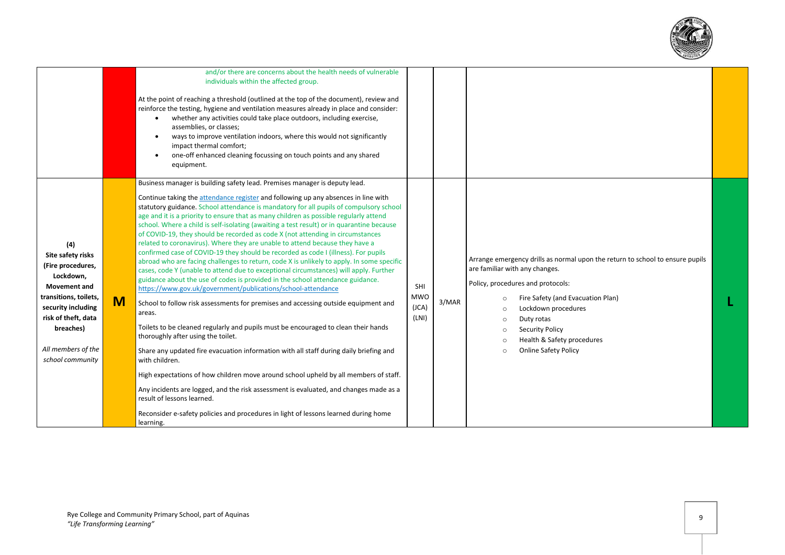

|                                                                                                                                                                                                                |   | and/or there are concerns about the health needs of vulnerable<br>individuals within the affected group.<br>At the point of reaching a threshold (outlined at the top of the document), review and<br>reinforce the testing, hygiene and ventilation measures already in place and consider:<br>whether any activities could take place outdoors, including exercise,<br>assemblies, or classes;<br>ways to improve ventilation indoors, where this would not significantly<br>$\bullet$<br>impact thermal comfort;<br>one-off enhanced cleaning focussing on touch points and any shared<br>$\bullet$<br>equipment.                                                                                                                                                                                                                                                                                                                                                                                                                                                                                                                                                                                                                                                                                                                                                                                                                                                                                                                                                                                                                                                                                        |                                     |       |                                                                                                                                                                                                                                                                                                                                                                                          |  |
|----------------------------------------------------------------------------------------------------------------------------------------------------------------------------------------------------------------|---|-------------------------------------------------------------------------------------------------------------------------------------------------------------------------------------------------------------------------------------------------------------------------------------------------------------------------------------------------------------------------------------------------------------------------------------------------------------------------------------------------------------------------------------------------------------------------------------------------------------------------------------------------------------------------------------------------------------------------------------------------------------------------------------------------------------------------------------------------------------------------------------------------------------------------------------------------------------------------------------------------------------------------------------------------------------------------------------------------------------------------------------------------------------------------------------------------------------------------------------------------------------------------------------------------------------------------------------------------------------------------------------------------------------------------------------------------------------------------------------------------------------------------------------------------------------------------------------------------------------------------------------------------------------------------------------------------------------|-------------------------------------|-------|------------------------------------------------------------------------------------------------------------------------------------------------------------------------------------------------------------------------------------------------------------------------------------------------------------------------------------------------------------------------------------------|--|
| (4)<br>Site safety risks<br>(Fire procedures,<br>Lockdown,<br><b>Movement and</b><br>transitions, toilets,<br>security including<br>risk of theft, data<br>breaches)<br>All members of the<br>school community | M | Business manager is building safety lead. Premises manager is deputy lead.<br>Continue taking the attendance register and following up any absences in line with<br>statutory guidance. School attendance is mandatory for all pupils of compulsory school<br>age and it is a priority to ensure that as many children as possible regularly attend<br>school. Where a child is self-isolating (awaiting a test result) or in quarantine because<br>of COVID-19, they should be recorded as code X (not attending in circumstances<br>related to coronavirus). Where they are unable to attend because they have a<br>confirmed case of COVID-19 they should be recorded as code I (illness). For pupils<br>abroad who are facing challenges to return, code X is unlikely to apply. In some specific<br>cases, code Y (unable to attend due to exceptional circumstances) will apply. Further<br>guidance about the use of codes is provided in the school attendance guidance.<br>https://www.gov.uk/government/publications/school-attendance<br>School to follow risk assessments for premises and accessing outside equipment and<br>areas.<br>Toilets to be cleaned regularly and pupils must be encouraged to clean their hands<br>thoroughly after using the toilet.<br>Share any updated fire evacuation information with all staff during daily briefing and<br>with children.<br>High expectations of how children move around school upheld by all members of staff.<br>Any incidents are logged, and the risk assessment is evaluated, and changes made as a<br>result of lessons learned.<br>Reconsider e-safety policies and procedures in light of lessons learned during home<br>learning. | SHI<br><b>MWO</b><br>(JCA)<br>(LNI) | 3/MAR | Arrange emergency drills as normal upon the return to school to ensure pupils<br>are familiar with any changes.<br>Policy, procedures and protocols:<br>Fire Safety (and Evacuation Plan)<br>$\Omega$<br>Lockdown procedures<br>$\circ$<br>Duty rotas<br>$\circ$<br><b>Security Policy</b><br>$\circ$<br>Health & Safety procedures<br>$\circ$<br><b>Online Safety Policy</b><br>$\circ$ |  |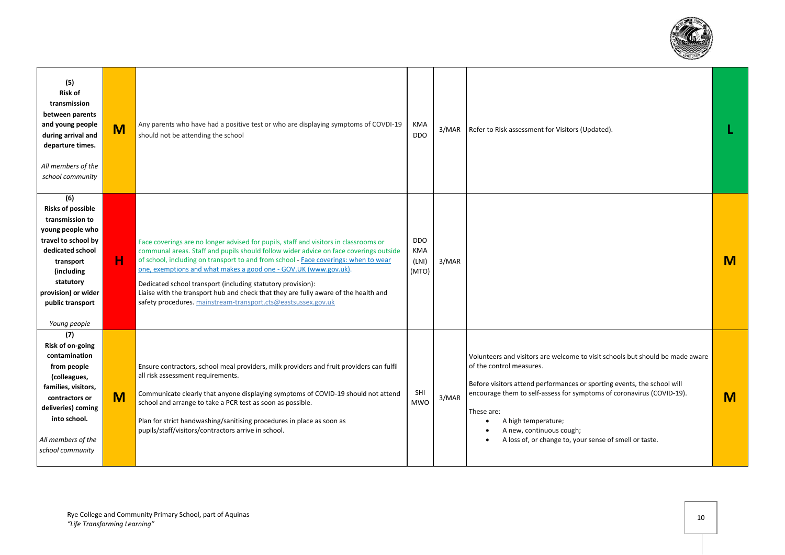

| (5)<br><b>Risk of</b><br>transmission<br>between parents<br>and young people<br>during arrival and<br>departure times.<br>All members of the<br>school community                                                     | M | Any parents who have had a positive test or who are displaying symptoms of COVDI-19<br>should not be attending the school                                                                                                                                                                                                                                                                                                                                                                                                                                       | <b>KMA</b><br><b>DDO</b>            | 3/MAR | Refer to Risk assessment for Visitors (Updated).                                                                                                                                                                                                                                                                                                                                                                   |   |
|----------------------------------------------------------------------------------------------------------------------------------------------------------------------------------------------------------------------|---|-----------------------------------------------------------------------------------------------------------------------------------------------------------------------------------------------------------------------------------------------------------------------------------------------------------------------------------------------------------------------------------------------------------------------------------------------------------------------------------------------------------------------------------------------------------------|-------------------------------------|-------|--------------------------------------------------------------------------------------------------------------------------------------------------------------------------------------------------------------------------------------------------------------------------------------------------------------------------------------------------------------------------------------------------------------------|---|
| (6)<br><b>Risks of possible</b><br>transmission to<br>young people who<br>travel to school by<br>dedicated school<br>transport<br>(including<br>statutory<br>provision) or wider<br>public transport<br>Young people | н | Face coverings are no longer advised for pupils, staff and visitors in classrooms or<br>communal areas. Staff and pupils should follow wider advice on face coverings outside<br>of school, including on transport to and from school - Face coverings: when to wear<br>one, exemptions and what makes a good one - GOV.UK (www.gov.uk).<br>Dedicated school transport (including statutory provision):<br>Liaise with the transport hub and check that they are fully aware of the health and<br>safety procedures. mainstream-transport.cts@eastsussex.gov.uk | <b>DDO</b><br>KMA<br>(LNI)<br>(MTO) | 3/MAR |                                                                                                                                                                                                                                                                                                                                                                                                                    | M |
| (7)<br>Risk of on-going<br>contamination<br>from people<br>(colleagues,<br>families, visitors,<br>contractors or<br>deliveries) coming<br>into school.<br>All members of the<br>school community                     | M | Ensure contractors, school meal providers, milk providers and fruit providers can fulfil<br>all risk assessment requirements.<br>Communicate clearly that anyone displaying symptoms of COVID-19 should not attend<br>school and arrange to take a PCR test as soon as possible.<br>Plan for strict handwashing/sanitising procedures in place as soon as<br>pupils/staff/visitors/contractors arrive in school.                                                                                                                                                | SHI<br><b>MWO</b>                   | 3/MAR | Volunteers and visitors are welcome to visit schools but should be made aware<br>of the control measures.<br>Before visitors attend performances or sporting events, the school will<br>encourage them to self-assess for symptoms of coronavirus (COVID-19).<br>These are:<br>A high temperature;<br>A new, continuous cough;<br>$\bullet$<br>A loss of, or change to, your sense of smell or taste.<br>$\bullet$ | M |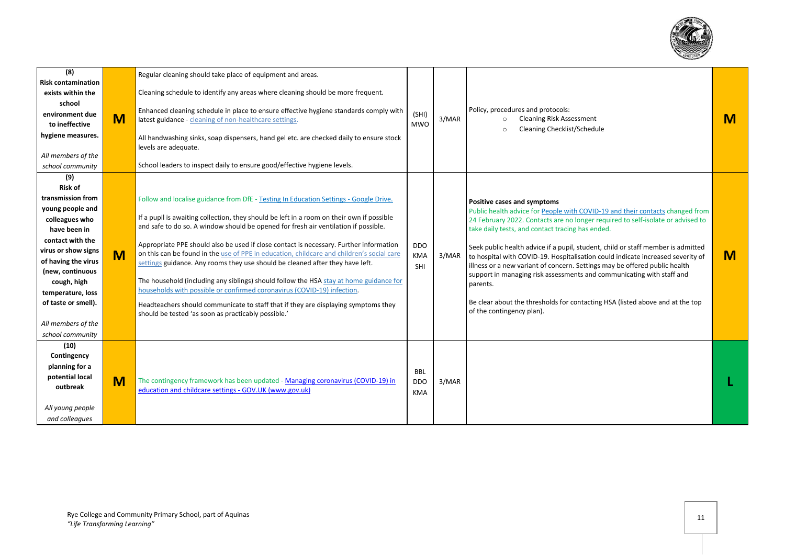

| (8)<br><b>Risk contamination</b><br>exists within the<br>school<br>environment due<br>to ineffective<br>hygiene measures.<br>All members of the<br>school community                                                                                                                         | M | Regular cleaning should take place of equipment and areas.<br>Cleaning schedule to identify any areas where cleaning should be more frequent.<br>Enhanced cleaning schedule in place to ensure effective hygiene standards comply with<br>latest guidance - cleaning of non-healthcare settings.<br>All handwashing sinks, soap dispensers, hand gel etc. are checked daily to ensure stock<br>levels are adequate.<br>School leaders to inspect daily to ensure good/effective hygiene levels.                                                                                                                                                                                                                                                                                                                                                                     | (SHI)<br><b>MWO</b>                    | 3/MAR | Policy, procedures and protocols:<br><b>Cleaning Risk Assessment</b><br>$\circ$<br>Cleaning Checklist/Schedule<br>$\circ$                                                                                                                                                                                                                                                                                                                                                                                                                                                                                                                                                                                   | M |
|---------------------------------------------------------------------------------------------------------------------------------------------------------------------------------------------------------------------------------------------------------------------------------------------|---|---------------------------------------------------------------------------------------------------------------------------------------------------------------------------------------------------------------------------------------------------------------------------------------------------------------------------------------------------------------------------------------------------------------------------------------------------------------------------------------------------------------------------------------------------------------------------------------------------------------------------------------------------------------------------------------------------------------------------------------------------------------------------------------------------------------------------------------------------------------------|----------------------------------------|-------|-------------------------------------------------------------------------------------------------------------------------------------------------------------------------------------------------------------------------------------------------------------------------------------------------------------------------------------------------------------------------------------------------------------------------------------------------------------------------------------------------------------------------------------------------------------------------------------------------------------------------------------------------------------------------------------------------------------|---|
| (9)<br><b>Risk of</b><br>transmission from<br>young people and<br>colleagues who<br>have been in<br>contact with the<br>virus or show signs<br>of having the virus<br>(new, continuous<br>cough, high<br>temperature, loss<br>of taste or smell).<br>All members of the<br>school community | M | Follow and localise guidance from DfE - Testing In Education Settings - Google Drive.<br>If a pupil is awaiting collection, they should be left in a room on their own if possible<br>and safe to do so. A window should be opened for fresh air ventilation if possible.<br>Appropriate PPE should also be used if close contact is necessary. Further information<br>on this can be found in the use of PPE in education, childcare and children's social care<br>settings guidance. Any rooms they use should be cleaned after they have left.<br>The household (including any siblings) should follow the HSA stay at home guidance for<br>households with possible or confirmed coronavirus (COVID-19) infection.<br>Headteachers should communicate to staff that if they are displaying symptoms they<br>should be tested 'as soon as practicably possible.' | <b>DDO</b><br><b>KMA</b><br>SHI        | 3/MAR | Positive cases and symptoms<br>Public health advice for People with COVID-19 and their contacts changed from<br>24 February 2022. Contacts are no longer required to self-isolate or advised to<br>take daily tests, and contact tracing has ended.<br>Seek public health advice if a pupil, student, child or staff member is admitted<br>to hospital with COVID-19. Hospitalisation could indicate increased severity of<br>illness or a new variant of concern. Settings may be offered public health<br>support in managing risk assessments and communicating with staff and<br>parents.<br>Be clear about the thresholds for contacting HSA (listed above and at the top<br>of the contingency plan). | M |
| (10)<br>Contingency<br>planning for a<br>potential local<br>outbreak<br>All young people<br>and colleagues                                                                                                                                                                                  | M | The contingency framework has been updated - Managing coronavirus (COVID-19) in<br>education and childcare settings - GOV.UK (www.gov.uk)                                                                                                                                                                                                                                                                                                                                                                                                                                                                                                                                                                                                                                                                                                                           | <b>BBL</b><br><b>DDO</b><br><b>KMA</b> | 3/MAR |                                                                                                                                                                                                                                                                                                                                                                                                                                                                                                                                                                                                                                                                                                             |   |